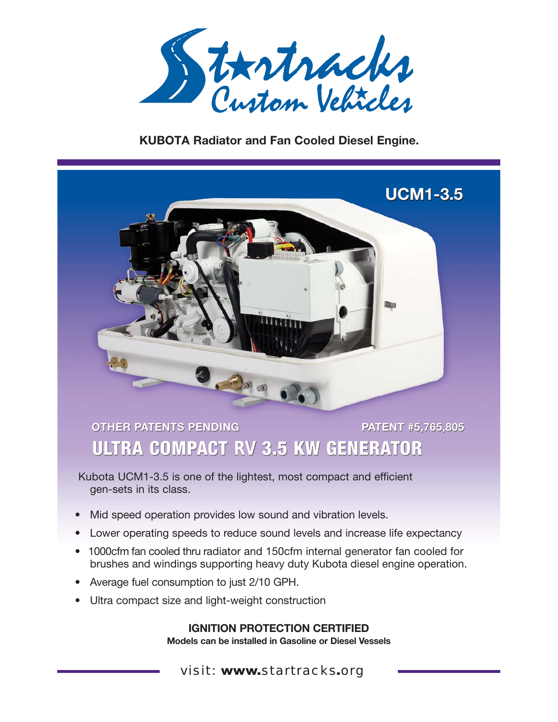

### **KUBOTA Radiator and Fan Cooled Diesel Engine.**



# **OTHER PATENTS PENDING PATENT #5,765,805 ULTRA COMPACT RV 3.5 KW GENERATOR**

Kubota UCM1-3.5 is one of the lightest, most compact and efficient gen-sets in its class.

- Mid speed operation provides low sound and vibration levels.
- Lower operating speeds to reduce sound levels and increase life expectancy
- 1000cfm fan cooled thru radiator and 150cfm internal generator fan cooled for brushes and windings supporting heavy duty Kubota diesel engine operation.
- Average fuel consumption to just 2/10 GPH.
- Ultra compact size and light-weight construction

**IGNITION PROTECTION CERTIFIED Models can be installed in Gasoline or Diesel Vessels**

visit: www.startracks.org